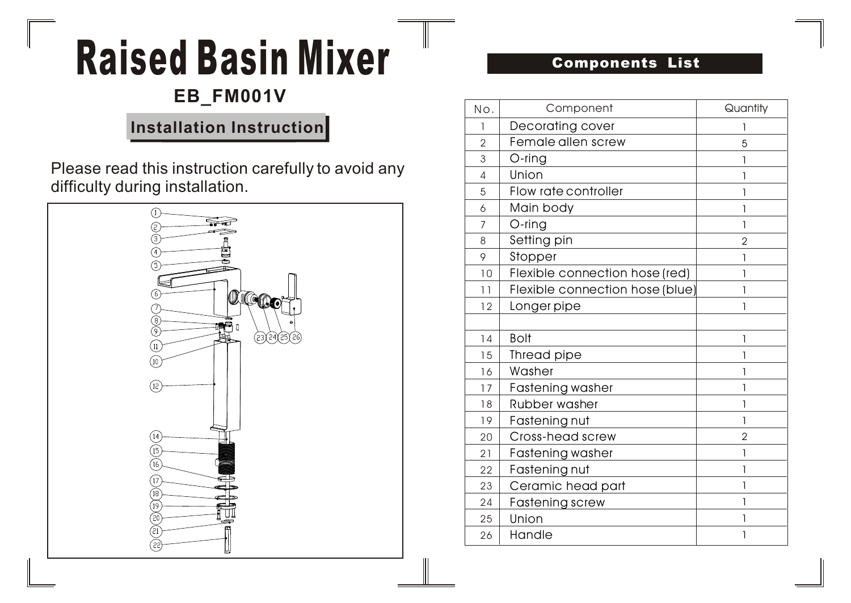# Raised Basin Mixer

## **EB\_FM001V**

### **Installation Instruction**

Please read this instruction carefully to avoid any difficulty during installation.



#### Components List

| No.            | Component                       | Quantity       |
|----------------|---------------------------------|----------------|
| 1              | Decorating cover                | 1              |
| $\overline{2}$ | Female allen screw              | 5              |
| 3              | $O$ -ring                       | 1              |
| 4              | Union                           | 1              |
| 5              | Flow rate controller            | 1              |
| 6              | Main body                       | $\mathbf{I}$   |
| 7              | $O$ -ring                       | 1              |
| 8              | Setting pin                     | $\overline{2}$ |
| 9              | Stopper                         | 1              |
| 10             | Flexible connection hose (red)  | 1              |
| 11             | Flexible connection hose (blue) | $\mathbf{I}$   |
| 12             | Longer pipe                     | 1              |
|                |                                 |                |
| 14             | <b>Bolt</b>                     | 1              |
| 15             | Thread pipe                     | 1              |
| 16             | Washer                          | 1              |
| 17             | <b>Fastening washer</b>         | 1              |
| 18             | Rubber washer                   | 1              |
| 19             | Fastening nut                   | 1              |
| 20             | Cross-head screw                | $\overline{2}$ |
| 21             | <b>Fastening washer</b>         | 1              |
| 22             | Fastening nut                   | 1              |
| 23             | Ceramic head part               | 1              |
| 24             | Fastening screw                 | $\mathbf{I}$   |
| 25             | Union                           | 1              |
| 26             | Handle                          | 1              |